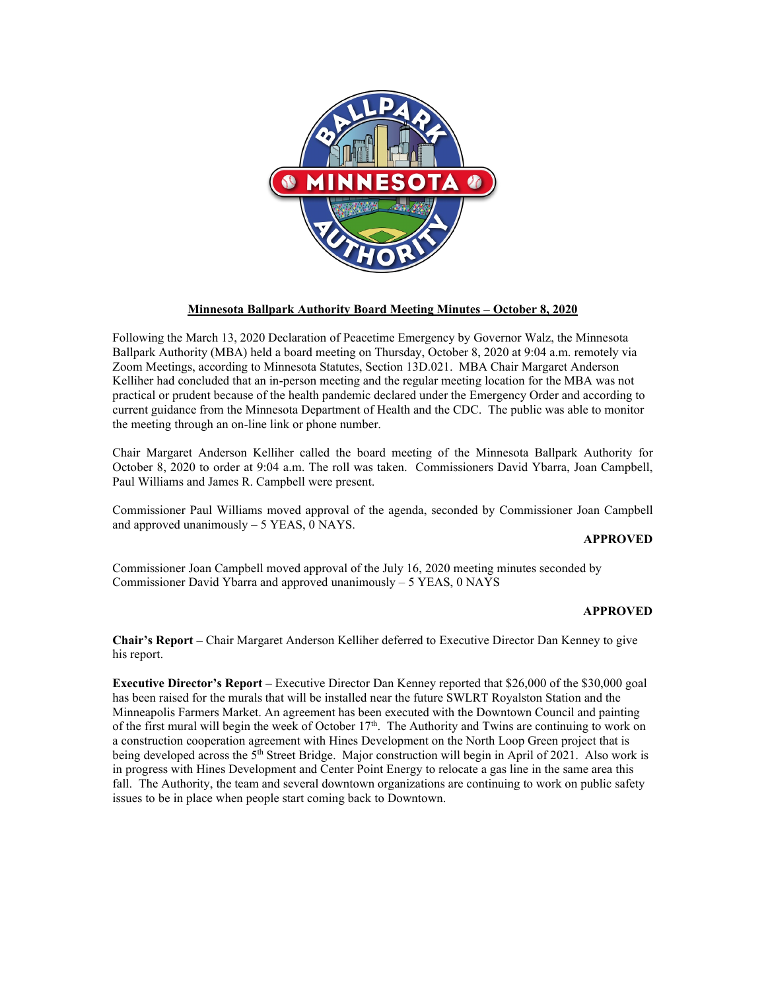

## **Minnesota Ballpark Authority Board Meeting Minutes – October 8, 2020**

Following the March 13, 2020 Declaration of Peacetime Emergency by Governor Walz, the Minnesota Ballpark Authority (MBA) held a board meeting on Thursday, October 8, 2020 at 9:04 a.m. remotely via Zoom Meetings, according to Minnesota Statutes, Section 13D.021. MBA Chair Margaret Anderson Kelliher had concluded that an in-person meeting and the regular meeting location for the MBA was not practical or prudent because of the health pandemic declared under the Emergency Order and according to current guidance from the Minnesota Department of Health and the CDC. The public was able to monitor the meeting through an on-line link or phone number.

Chair Margaret Anderson Kelliher called the board meeting of the Minnesota Ballpark Authority for October 8, 2020 to order at 9:04 a.m. The roll was taken. Commissioners David Ybarra, Joan Campbell, Paul Williams and James R. Campbell were present.

Commissioner Paul Williams moved approval of the agenda, seconded by Commissioner Joan Campbell and approved unanimously  $-5$  YEAS, 0 NAYS.

## **APPROVED**

Commissioner Joan Campbell moved approval of the July 16, 2020 meeting minutes seconded by Commissioner David Ybarra and approved unanimously – 5 YEAS, 0 NAYS

## **APPROVED**

**Chair's Report –** Chair Margaret Anderson Kelliher deferred to Executive Director Dan Kenney to give his report.

**Executive Director's Report –** Executive Director Dan Kenney reported that \$26,000 of the \$30,000 goal has been raised for the murals that will be installed near the future SWLRT Royalston Station and the Minneapolis Farmers Market. An agreement has been executed with the Downtown Council and painting of the first mural will begin the week of October  $17<sup>th</sup>$ . The Authority and Twins are continuing to work on a construction cooperation agreement with Hines Development on the North Loop Green project that is being developed across the 5<sup>th</sup> Street Bridge. Major construction will begin in April of 2021. Also work is in progress with Hines Development and Center Point Energy to relocate a gas line in the same area this fall. The Authority, the team and several downtown organizations are continuing to work on public safety issues to be in place when people start coming back to Downtown.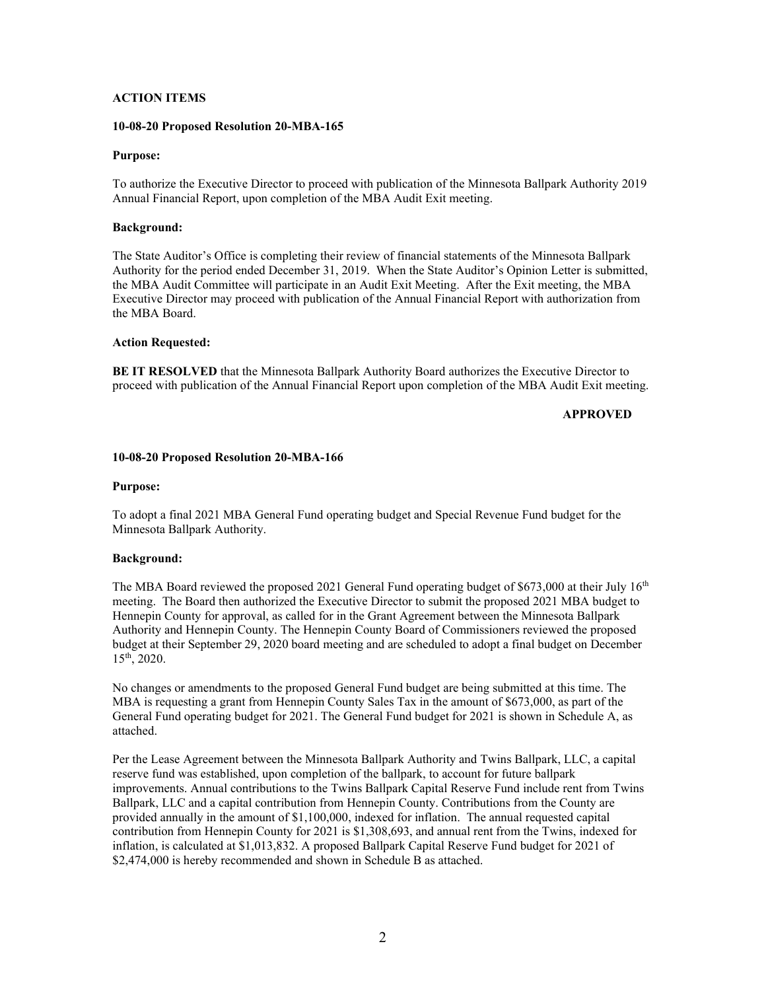## **ACTION ITEMS**

## **10-08-20 Proposed Resolution 20-MBA-165**

### **Purpose:**

To authorize the Executive Director to proceed with publication of the Minnesota Ballpark Authority 2019 Annual Financial Report, upon completion of the MBA Audit Exit meeting.

## **Background:**

The State Auditor's Office is completing their review of financial statements of the Minnesota Ballpark Authority for the period ended December 31, 2019. When the State Auditor's Opinion Letter is submitted, the MBA Audit Committee will participate in an Audit Exit Meeting. After the Exit meeting, the MBA Executive Director may proceed with publication of the Annual Financial Report with authorization from the MBA Board.

#### **Action Requested:**

**BE IT RESOLVED** that the Minnesota Ballpark Authority Board authorizes the Executive Director to proceed with publication of the Annual Financial Report upon completion of the MBA Audit Exit meeting.

## **APPROVED**

#### **10-08-20 Proposed Resolution 20-MBA-166**

#### **Purpose:**

To adopt a final 2021 MBA General Fund operating budget and Special Revenue Fund budget for the Minnesota Ballpark Authority.

## **Background:**

The MBA Board reviewed the proposed 2021 General Fund operating budget of \$673,000 at their July  $16<sup>th</sup>$ meeting. The Board then authorized the Executive Director to submit the proposed 2021 MBA budget to Hennepin County for approval, as called for in the Grant Agreement between the Minnesota Ballpark Authority and Hennepin County. The Hennepin County Board of Commissioners reviewed the proposed budget at their September 29, 2020 board meeting and are scheduled to adopt a final budget on December 15th, 2020.

No changes or amendments to the proposed General Fund budget are being submitted at this time. The MBA is requesting a grant from Hennepin County Sales Tax in the amount of \$673,000, as part of the General Fund operating budget for 2021. The General Fund budget for 2021 is shown in Schedule A, as attached.

Per the Lease Agreement between the Minnesota Ballpark Authority and Twins Ballpark, LLC, a capital reserve fund was established, upon completion of the ballpark, to account for future ballpark improvements. Annual contributions to the Twins Ballpark Capital Reserve Fund include rent from Twins Ballpark, LLC and a capital contribution from Hennepin County. Contributions from the County are provided annually in the amount of \$1,100,000, indexed for inflation. The annual requested capital contribution from Hennepin County for 2021 is \$1,308,693, and annual rent from the Twins, indexed for inflation, is calculated at \$1,013,832. A proposed Ballpark Capital Reserve Fund budget for 2021 of \$2,474,000 is hereby recommended and shown in Schedule B as attached.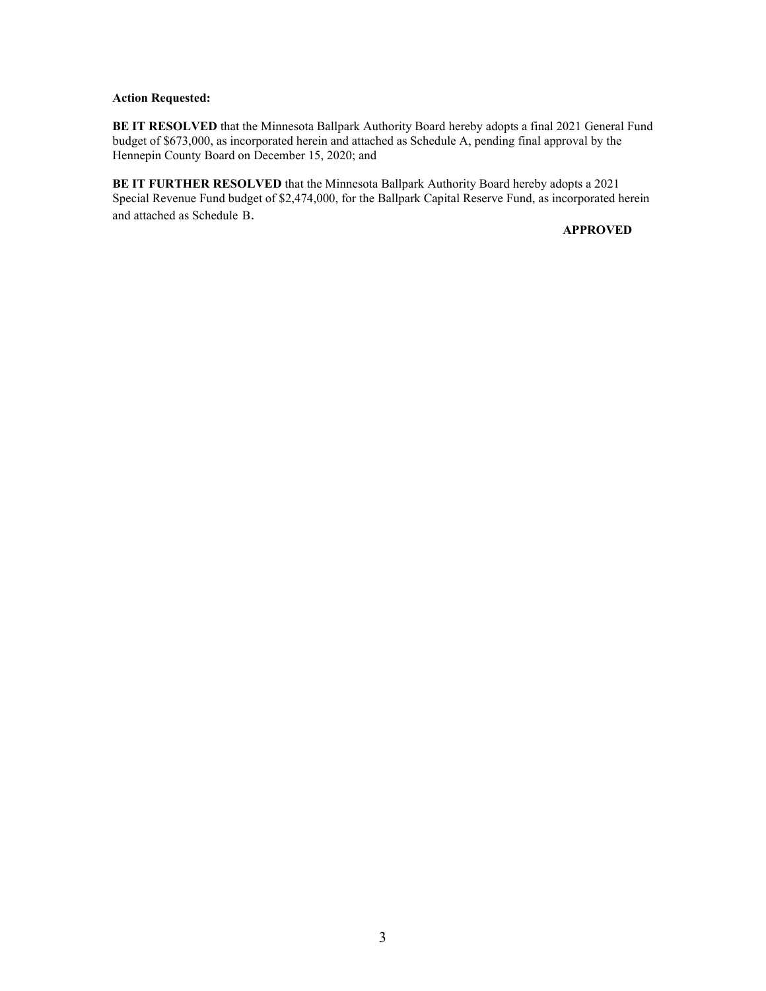## **Action Requested:**

**BE IT RESOLVED** that the Minnesota Ballpark Authority Board hereby adopts a final 2021 General Fund budget of \$673,000, as incorporated herein and attached as Schedule A, pending final approval by the Hennepin County Board on December 15, 2020; and

**BE IT FURTHER RESOLVED** that the Minnesota Ballpark Authority Board hereby adopts a 2021 Special Revenue Fund budget of \$2,474,000, for the Ballpark Capital Reserve Fund, as incorporated herein and attached as Schedule B.

**APPROVED**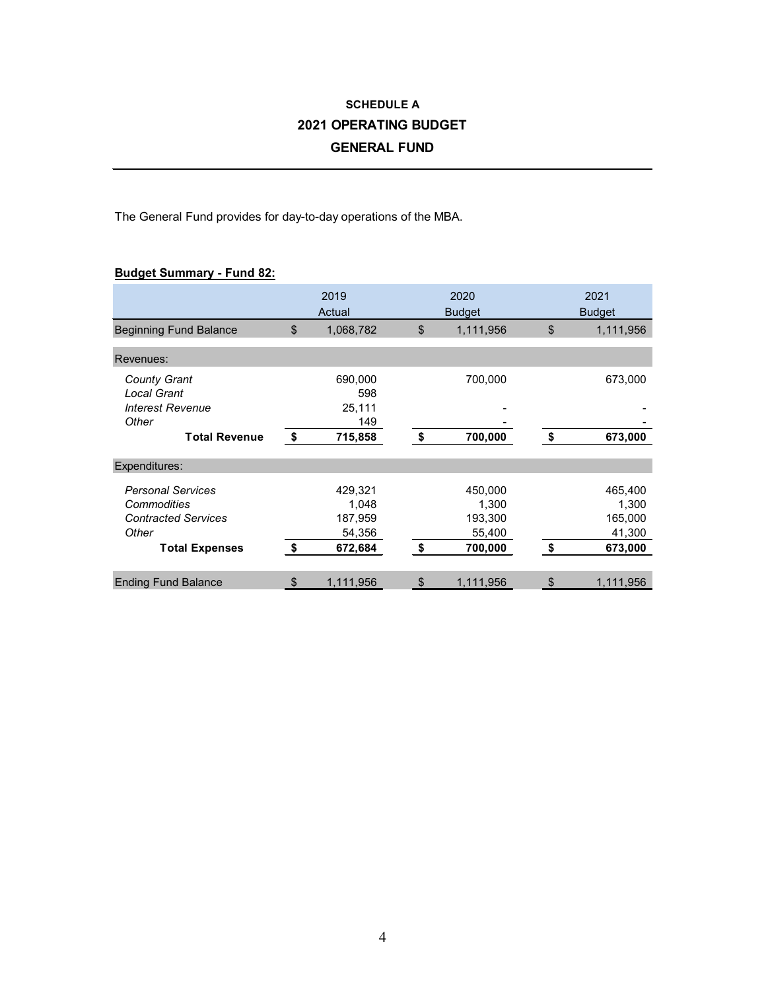# **SCHEDULE A 2021 OPERATING BUDGET GENERAL FUND**

The General Fund provides for day-to-day operations of the MBA.

## **Budget Summary - Fund 82:**

|                                           |               | 2019<br>Actual    | 2020<br><b>Budget</b> | 2021<br><b>Budget</b> |                   |  |
|-------------------------------------------|---------------|-------------------|-----------------------|-----------------------|-------------------|--|
| <b>Beginning Fund Balance</b>             | \$            | 1,068,782         | \$<br>1,111,956       | \$                    | 1,111,956         |  |
| Revenues:                                 |               |                   |                       |                       |                   |  |
| <b>County Grant</b><br><b>Local Grant</b> |               | 690,000<br>598    | 700,000               |                       | 673,000           |  |
| <b>Interest Revenue</b><br>Other          |               | 25,111<br>149     |                       |                       |                   |  |
| <b>Total Revenue</b>                      | $\sqrt[6]{3}$ | 715,858           | \$<br>700,000         | \$                    | 673,000           |  |
| Expenditures:                             |               |                   |                       |                       |                   |  |
| <b>Personal Services</b><br>Commodities   |               | 429,321<br>1,048  | 450,000<br>1,300      |                       | 465,400<br>1,300  |  |
| <b>Contracted Services</b><br>Other       |               | 187,959<br>54,356 | 193,300<br>55,400     |                       | 165,000<br>41,300 |  |
| <b>Total Expenses</b>                     | \$            | 672,684           | \$<br>700,000         | \$                    | 673,000           |  |
| <b>Ending Fund Balance</b>                | \$            | 1,111,956         | \$<br>1,111,956       | \$                    | 1,111,956         |  |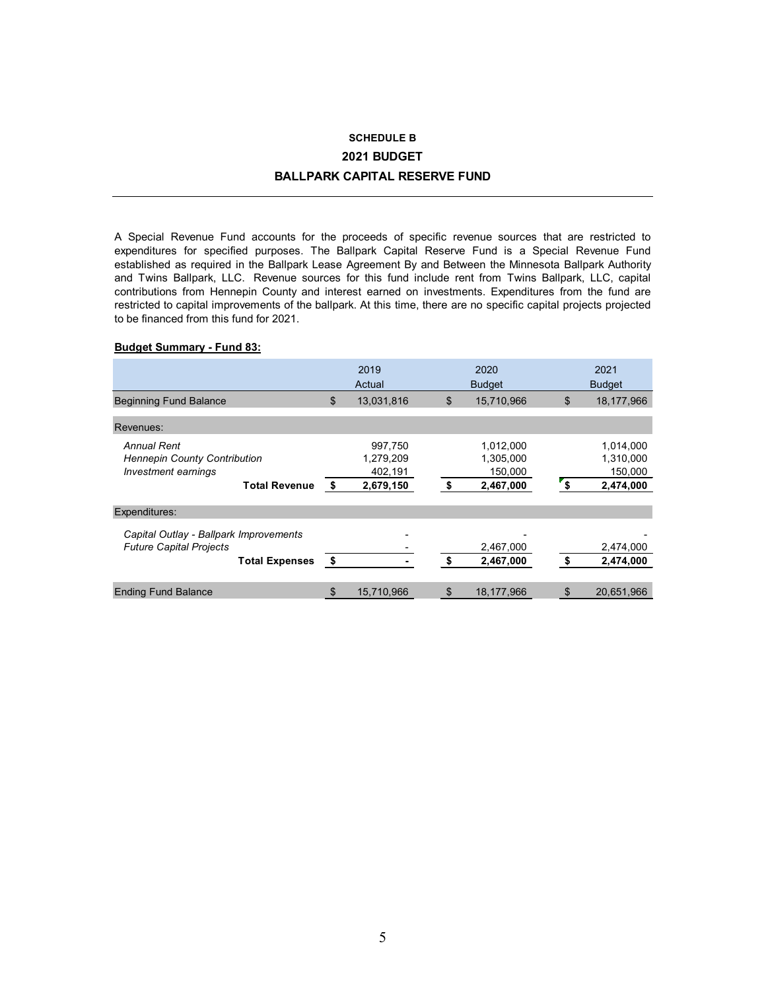## **SCHEDULE B 2021 BUDGET BALLPARK CAPITAL RESERVE FUND**

A Special Revenue Fund accounts for the proceeds of specific revenue sources that are restricted to expenditures for specified purposes. The Ballpark Capital Reserve Fund is a Special Revenue Fund established as required in the Ballpark Lease Agreement By and Between the Minnesota Ballpark Authority and Twins Ballpark, LLC. Revenue sources for this fund include rent from Twins Ballpark, LLC, capital contributions from Hennepin County and interest earned on investments. Expenditures from the fund are restricted to capital improvements of the ballpark. At this time, there are no specific capital projects projected to be financed from this fund for 2021.

### **Budget Summary - Fund 83:**

|                                                                                                          |      | 2019<br>Actual                               |    | 2020<br><b>Budget</b>                          |      | 2021<br><b>Budget</b>                          |
|----------------------------------------------------------------------------------------------------------|------|----------------------------------------------|----|------------------------------------------------|------|------------------------------------------------|
| <b>Beginning Fund Balance</b>                                                                            | \$   | 13,031,816                                   | \$ | 15,710,966                                     | \$   | 18,177,966                                     |
| Revenues:                                                                                                |      |                                              |    |                                                |      |                                                |
| <b>Annual Rent</b><br><b>Hennepin County Contribution</b><br>Investment earnings<br><b>Total Revenue</b> | \$   | 997,750<br>1,279,209<br>402,191<br>2,679,150 | \$ | 1,012,000<br>1,305,000<br>150,000<br>2,467,000 | ์ \$ | 1,014,000<br>1,310,000<br>150,000<br>2,474,000 |
| Expenditures:                                                                                            |      |                                              |    |                                                |      |                                                |
| Capital Outlay - Ballpark Improvements<br><b>Future Capital Projects</b><br><b>Total Expenses</b>        | - \$ |                                              | \$ | 2,467,000<br>2,467,000                         | \$   | 2,474,000<br>2,474,000                         |
| <b>Ending Fund Balance</b>                                                                               | \$   | 15,710,966                                   | S  | 18,177,966                                     |      | 20,651,966                                     |